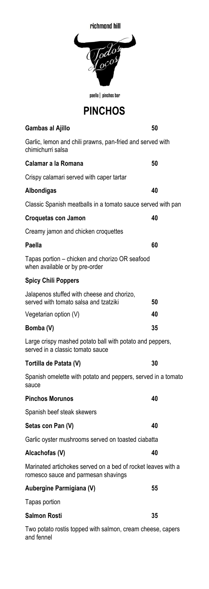| richmond hill                                                                                       |  |  |
|-----------------------------------------------------------------------------------------------------|--|--|
| odos                                                                                                |  |  |
| paella   pinchos bar                                                                                |  |  |
| <b>PINCHOS</b>                                                                                      |  |  |
| 50<br>Gambas al Ajillo                                                                              |  |  |
| Garlic, lemon and chili prawns, pan-fried and served with<br>chimichurri salsa                      |  |  |
| Calamar a la Romana<br>50                                                                           |  |  |
| Crispy calamari served with caper tartar                                                            |  |  |
| Albondigas<br>40                                                                                    |  |  |
| Classic Spanish meatballs in a tomato sauce served with pan                                         |  |  |
| 40<br>Croquetas con Jamon                                                                           |  |  |
| Creamy jamon and chicken croquettes                                                                 |  |  |
| Paella<br>60                                                                                        |  |  |
| Tapas portion - chicken and chorizo OR seafood<br>when available or by pre-order                    |  |  |
| <b>Spicy Chili Poppers</b>                                                                          |  |  |
| Jalapenos stuffed with cheese and chorizo,<br>served with tomato salsa and tzatziki<br>50           |  |  |
| 40<br>Vegetarian option (V)                                                                         |  |  |
| 35<br>Bomba (V)                                                                                     |  |  |
| Large crispy mashed potato ball with potato and peppers,<br>served in a classic tomato sauce        |  |  |
| 30<br>Tortilla de Patata (V)                                                                        |  |  |
| Spanish omelette with potato and peppers, served in a tomato<br>sauce                               |  |  |
| <b>Pinchos Morunos</b><br>40                                                                        |  |  |
| Spanish beef steak skewers                                                                          |  |  |
| Setas con Pan (V)<br>40                                                                             |  |  |
| Garlic oyster mushrooms served on toasted ciabatta                                                  |  |  |
| Alcachofas (V)<br>40                                                                                |  |  |
| Marinated artichokes served on a bed of rocket leaves with a<br>romesco sauce and parmesan shavings |  |  |
| 55<br>Aubergine Parmigiana (V)                                                                      |  |  |
| Tapas portion                                                                                       |  |  |
| Salmon Rosti<br>35                                                                                  |  |  |
| Two potato rostis topped with salmon, cream cheese, capers<br>and fennel                            |  |  |